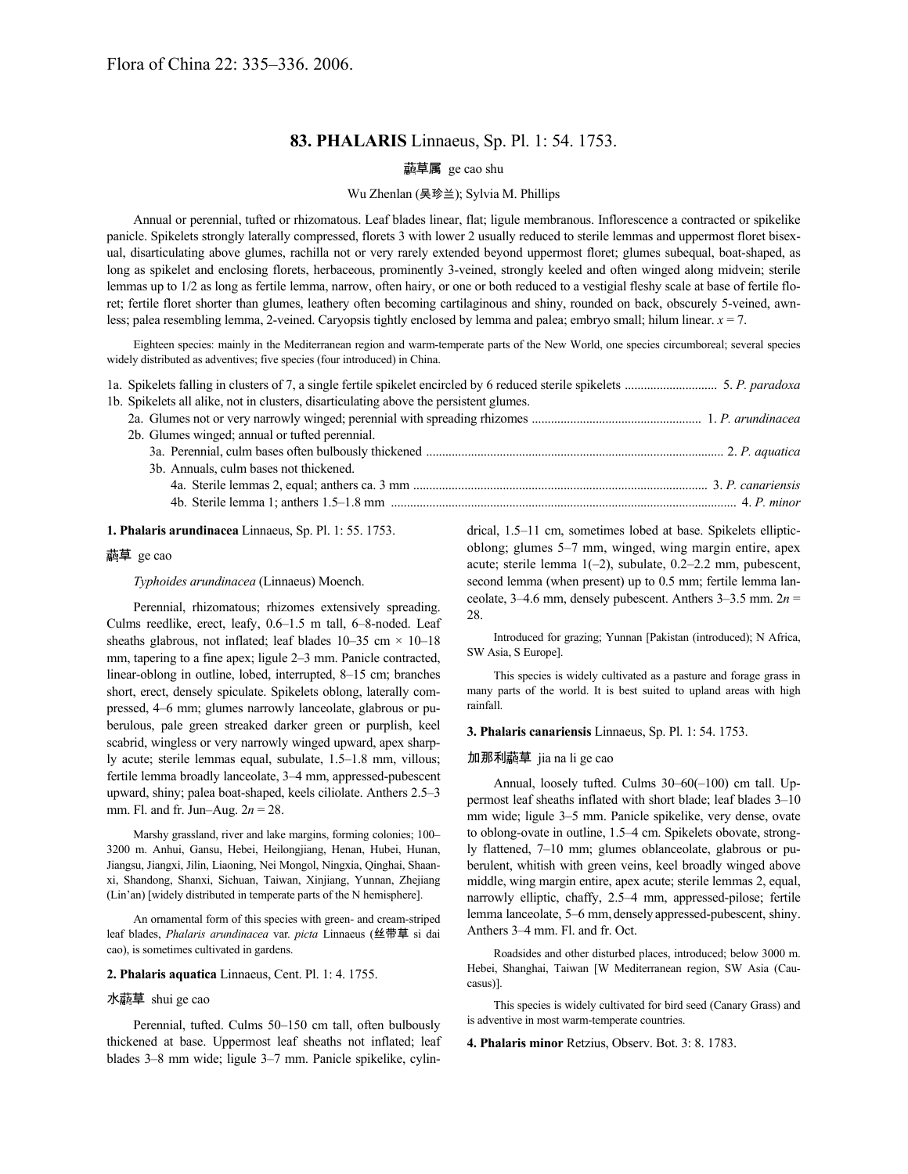# **83. PHALARIS** Linnaeus, Sp. Pl. 1: 54. 1753.

### 草属 ge cao shu

#### Wu Zhenlan (吴珍兰); Sylvia M. Phillips

Annual or perennial, tufted or rhizomatous. Leaf blades linear, flat; ligule membranous. Inflorescence a contracted or spikelike panicle. Spikelets strongly laterally compressed, florets 3 with lower 2 usually reduced to sterile lemmas and uppermost floret bisexual, disarticulating above glumes, rachilla not or very rarely extended beyond uppermost floret; glumes subequal, boat-shaped, as long as spikelet and enclosing florets, herbaceous, prominently 3-veined, strongly keeled and often winged along midvein; sterile lemmas up to 1/2 as long as fertile lemma, narrow, often hairy, or one or both reduced to a vestigial fleshy scale at base of fertile floret; fertile floret shorter than glumes, leathery often becoming cartilaginous and shiny, rounded on back, obscurely 5-veined, awnless; palea resembling lemma, 2-veined. Caryopsis tightly enclosed by lemma and palea; embryo small; hilum linear. *x* = 7.

Eighteen species: mainly in the Mediterranean region and warm-temperate parts of the New World, one species circumboreal; several species widely distributed as adventives; five species (four introduced) in China.

| 1b. Spikelets all alike, not in clusters, disarticulating above the persistent glumes. |  |
|----------------------------------------------------------------------------------------|--|
|                                                                                        |  |
| 2b. Glumes winged; annual or tufted perennial.                                         |  |
|                                                                                        |  |
| 3b. Annuals, culm bases not thickened.                                                 |  |
|                                                                                        |  |
|                                                                                        |  |

#### **1. Phalaris arundinacea** Linnaeus, Sp. Pl. 1: 55. 1753.

## 草 ge cao

*Typhoides arundinacea* (Linnaeus) Moench.

Perennial, rhizomatous; rhizomes extensively spreading. Culms reedlike, erect, leafy, 0.6–1.5 m tall, 6–8-noded. Leaf sheaths glabrous, not inflated; leaf blades  $10-35$  cm  $\times$   $10-18$ mm, tapering to a fine apex; ligule 2–3 mm. Panicle contracted, linear-oblong in outline, lobed, interrupted, 8–15 cm; branches short, erect, densely spiculate. Spikelets oblong, laterally compressed, 4–6 mm; glumes narrowly lanceolate, glabrous or puberulous, pale green streaked darker green or purplish, keel scabrid, wingless or very narrowly winged upward, apex sharply acute; sterile lemmas equal, subulate, 1.5–1.8 mm, villous; fertile lemma broadly lanceolate, 3–4 mm, appressed-pubescent upward, shiny; palea boat-shaped, keels ciliolate. Anthers 2.5–3 mm. Fl. and fr. Jun–Aug. 2*n* = 28.

Marshy grassland, river and lake margins, forming colonies; 100– 3200 m. Anhui, Gansu, Hebei, Heilongjiang, Henan, Hubei, Hunan, Jiangsu, Jiangxi, Jilin, Liaoning, Nei Mongol, Ningxia, Qinghai, Shaanxi, Shandong, Shanxi, Sichuan, Taiwan, Xinjiang, Yunnan, Zhejiang (Lin'an) [widely distributed in temperate parts of the N hemisphere].

An ornamental form of this species with green- and cream-striped leaf blades, *Phalaris arundinacea* var. *picta* Linnaeus (丝带草 si dai cao), is sometimes cultivated in gardens.

#### **2. Phalaris aquatica** Linnaeus, Cent. Pl. 1: 4. 1755.

### 水 <br> 草 shui ge cao

Perennial, tufted. Culms 50–150 cm tall, often bulbously thickened at base. Uppermost leaf sheaths not inflated; leaf blades 3–8 mm wide; ligule 3–7 mm. Panicle spikelike, cylindrical, 1.5–11 cm, sometimes lobed at base. Spikelets ellipticoblong; glumes 5–7 mm, winged, wing margin entire, apex acute; sterile lemma 1(–2), subulate, 0.2–2.2 mm, pubescent, second lemma (when present) up to 0.5 mm; fertile lemma lanceolate, 3–4.6 mm, densely pubescent. Anthers 3–3.5 mm. 2*n* = 28.

Introduced for grazing; Yunnan [Pakistan (introduced); N Africa, SW Asia, S Europe].

This species is widely cultivated as a pasture and forage grass in many parts of the world. It is best suited to upland areas with high rainfall.

**3. Phalaris canariensis** Linnaeus, Sp. Pl. 1: 54. 1753.

#### 加那利虉草 jia na li ge cao

Annual, loosely tufted. Culms 30–60(–100) cm tall. Uppermost leaf sheaths inflated with short blade; leaf blades 3–10 mm wide; ligule 3–5 mm. Panicle spikelike, very dense, ovate to oblong-ovate in outline, 1.5–4 cm. Spikelets obovate, strongly flattened, 7–10 mm; glumes oblanceolate, glabrous or puberulent, whitish with green veins, keel broadly winged above middle, wing margin entire, apex acute; sterile lemmas 2, equal, narrowly elliptic, chaffy, 2.5–4 mm, appressed-pilose; fertile lemma lanceolate, 5–6 mm, densely appressed-pubescent, shiny. Anthers 3–4 mm. Fl. and fr. Oct.

Roadsides and other disturbed places, introduced; below 3000 m. Hebei, Shanghai, Taiwan [W Mediterranean region, SW Asia (Caucasus)].

This species is widely cultivated for bird seed (Canary Grass) and is adventive in most warm-temperate countries.

**4. Phalaris minor** Retzius, Observ. Bot. 3: 8. 1783.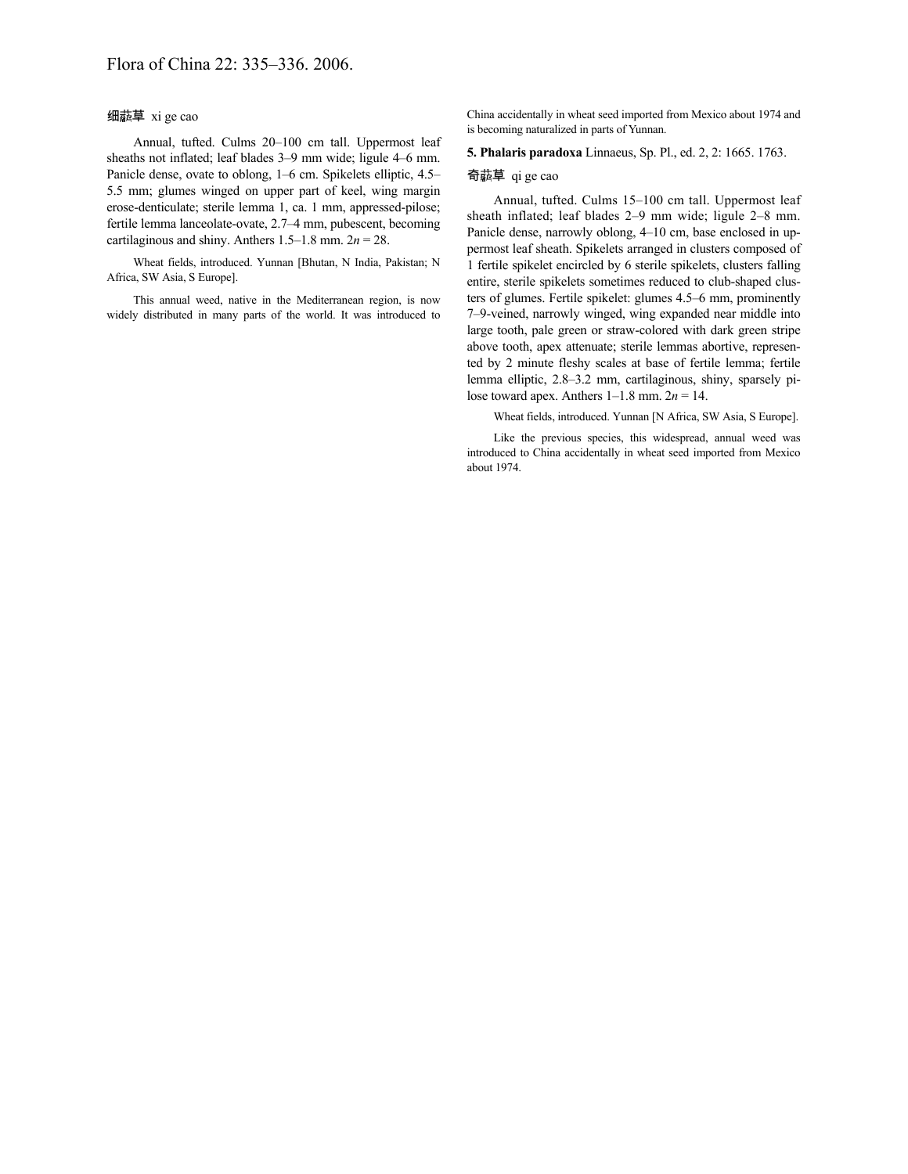## 细虉草 xi ge cao

Annual, tufted. Culms 20–100 cm tall. Uppermost leaf sheaths not inflated; leaf blades 3–9 mm wide; ligule 4–6 mm. Panicle dense, ovate to oblong, 1–6 cm. Spikelets elliptic, 4.5– 5.5 mm; glumes winged on upper part of keel, wing margin erose-denticulate; sterile lemma 1, ca. 1 mm, appressed-pilose; fertile lemma lanceolate-ovate, 2.7–4 mm, pubescent, becoming cartilaginous and shiny. Anthers  $1.5-1.8$  mm.  $2n = 28$ .

Wheat fields, introduced. Yunnan [Bhutan, N India, Pakistan; N Africa, SW Asia, S Europe].

This annual weed, native in the Mediterranean region, is now widely distributed in many parts of the world. It was introduced to China accidentally in wheat seed imported from Mexico about 1974 and is becoming naturalized in parts of Yunnan.

**5. Phalaris paradoxa** Linnaeus, Sp. Pl., ed. 2, 2: 1665. 1763.

#### 奇藝草 qi ge cao

Annual, tufted. Culms 15–100 cm tall. Uppermost leaf sheath inflated; leaf blades 2–9 mm wide; ligule 2–8 mm. Panicle dense, narrowly oblong, 4–10 cm, base enclosed in uppermost leaf sheath. Spikelets arranged in clusters composed of 1 fertile spikelet encircled by 6 sterile spikelets, clusters falling entire, sterile spikelets sometimes reduced to club-shaped clusters of glumes. Fertile spikelet: glumes 4.5–6 mm, prominently 7–9-veined, narrowly winged, wing expanded near middle into large tooth, pale green or straw-colored with dark green stripe above tooth, apex attenuate; sterile lemmas abortive, represented by 2 minute fleshy scales at base of fertile lemma; fertile lemma elliptic, 2.8–3.2 mm, cartilaginous, shiny, sparsely pilose toward apex. Anthers  $1-1.8$  mm.  $2n = 14$ .

Wheat fields, introduced. Yunnan [N Africa, SW Asia, S Europe].

Like the previous species, this widespread, annual weed was introduced to China accidentally in wheat seed imported from Mexico about 1974.